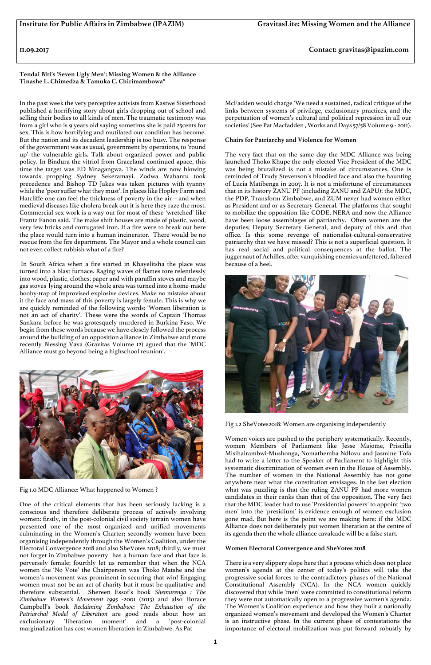**11.09.2017 Contact: gravitas@ipazim.com**

**Tendai Biti's 'Seven Ugly Men': Missing Women & the Alliance Tinashe L. Chimedza & Tamuka C. Chirimambowa\***

In the past week the very perceptive activists from Kastwe Sisterhood published a horrifying story about girls dropping out of school and selling their bodies to all kinds of men. The traumatic testimony was from a girl who is 9 years old saying sometims she is paid 25cents for sex. This is how horrifying and mutilated our condition has become. But the nation and its decadent leadership is too busy. The response of the government was as usual, government by operations, to 'round up' the vulnerable girls. Talk about organized power and public policy. In Bindura the vitriol from Graceland continued apace, this time the target was ED Mnagangwa. The winds are now blowing towards propping Sydney Sekeramayi. Zodwa Wabantu took precedence and Bishop TD Jakes was taken pictures with tyanny while the 'poor suffer what they must'. In places like Hopley Farm and Hatcliffe one can feel the thickness of poverty in the air – and when medieval diseases like cholera break out it is here they raze the most. Commercial sex work is a way out for most of these 'wretched' like Frantz Fanon said. The make shift houses are made of plastic, wood, very few bricks and corrugated iron. If a fire were to break out here the place would turn into a human incinerator. There would be no rescue from the fire department. The Mayor and a whole council can not even collect rubbish what of a fire?

In South Africa when a fire started in Khayelitsha the place was turned into a blast furnace. Raging waves of flames tore relentlessly into wood, plastic, clothes, paper and with paraffin stoves and maybe gas stoves lying around the whole area was turned into a home-made booby-trap of improvised explosive devices. Make no mistake about it the face and mass of this poverty is largely female. This is why we are quickly reminded of the following words: 'Women liberation is not an act of charity'. These were the words of Captain Thomas Sankara before he was grotesquely murdered in Burkina Faso. We begin from these words because we have closely followed the process around the building of an opposition alliance in Zimbabwe and more recently Blessing Vava (Gravitas Volume 12) agued that the 'MDC Alliance must go beyond being a highschool reunion'.



Fig 1.0 MDC Alliance: What happened to Women ?

One of the critical elements that has been seriously lacking is a conscious and therefore deliberate process of actively involving women: firstly, in the post-colonial civil society terrain women have presented one of the most organized and unified movements culminating in the Women's Charter; secondly women have been organising independently through the Women's Coalition, under the Electoral Convergence 2018 and also SheVotes 2018; thirdly, we must not forget in Zimbabwe poverty has a human face and that face is perversely female; fourthly let us remember that when the NCA women the 'No Vote' the Chairperson was Thoko Matshe and the women's movement was prominent in securing that win! Engaging women must not be an act of charity but it must be qualitative and therefore substantial. Shereen Essof's book *Shemurenga : The Zimbabwe Women's Movement 1995 -*2001 (2013) and also Horace Campbell's book *Reclaiming Zimbabwe: The Exhaustion of the Patriarchal Model of Liberation* are good reads about how an exclusionary 'liberation moment' and a 'post-colonial marginalization has cost women liberation in Zimbabwe. As Pat

McFadden would charge 'We need a sustained, radical critique of the links between systems of privilege, exclusionary practices, and the perpetuation of women's cultural and political repression in all our societies' (See Pat Macfadden , Works and Days 57/58 Volume 9 - 2011).

## **Chairs for Patriarchy and Violence for Women**

The very fact that on the same day the MDC Alliance was being launched Thoko Khupe the only elected Vice President of the MDC was being brutalized is not a mistake of circumstances. One is reminded of Trudy Stevenson's bloodied face and also the haunting of Lucia Matibenga in 2007. It is not a misfortune of circumstances that in its history ZANU PF (including ZANU and ZAPU); the MDC, the PDP, Transform Zimbabwe, and ZUM never had women either as President and or as Secretary General. The platforms that sought to mobilize the opposition like CODE, NERA and now the Alliance have been loose assemblages of patriarchy. Often women are the deputies; Deputy Secretary General, and deputy of this and that office. Is this some revenge of nationalist-cultural-conservative patriarchy that we have missed? This is not a superficial question. It has real social and political consequences at the ballot. The juggernaut of Achilles, after vanquishing enemies unfettered, faltered because of a heel.



Fig 1.2 SheVotes2018: Women are organising independently

Women voices are pushed to the periphery systematically. Recently, women Members of Parliament like Jesse Majome, Priscilla Misihairambwi-Mushonga, Nomathemba Ndlovu and Jasmine Tofa had to write a letter to the Speaker of Parliament to highlight this systematic discrimination of women even in the House of Assembly. The number of women in the National Assembly has not gone anywhere near what the constitution envisages. In the last election what was puzzling is that the ruling ZANU PF had more women candidates in their ranks than that of the opposition. The very fact that the MDC leader had to use 'Presidential powers' to appoint 'two men' into the 'presidium' is evidence enough of women exclusion gone mad. But here is the point we are making here: if the MDC Alliance does not deliberately put women liberation at the centre of its agenda then the whole alliance cavalcade will be a false start.

## **Women Electoral Convergence and SheVotes 2018**

There is a very slippery slope here that a process which does not place women's agenda at the center of today's politics will take the progressive social forces to the contradictory phases of the National Constitutional Assembly (NCA). In the NCA women quickly discovered that while 'men' were committed to constitutional reform they were not automatically open to a progressive women's agenda. The Women's Coalition experience and how they built a nationally organized women's movement and developed the Women's Charter is an instructive phase. In the current phase of contestations the importance of electoral mobilization was put forward robustly by